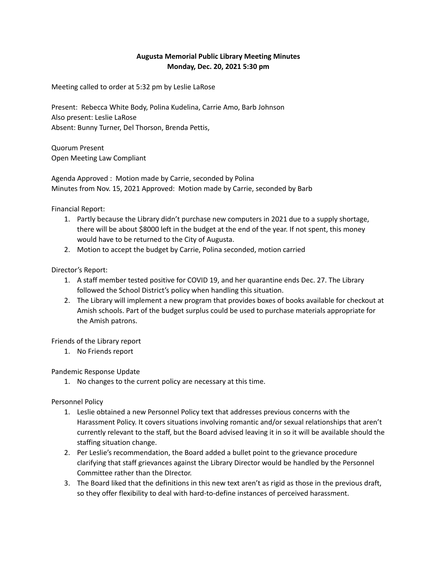## **Augusta Memorial Public Library Meeting Minutes Monday, Dec. 20, 2021 5:30 pm**

Meeting called to order at 5:32 pm by Leslie LaRose

Present: Rebecca White Body, Polina Kudelina, Carrie Amo, Barb Johnson Also present: Leslie LaRose Absent: Bunny Turner, Del Thorson, Brenda Pettis,

Quorum Present Open Meeting Law Compliant

Agenda Approved : Motion made by Carrie, seconded by Polina Minutes from Nov. 15, 2021 Approved: Motion made by Carrie, seconded by Barb

Financial Report:

- 1. Partly because the Library didn't purchase new computers in 2021 due to a supply shortage, there will be about \$8000 left in the budget at the end of the year. If not spent, this money would have to be returned to the City of Augusta.
- 2. Motion to accept the budget by Carrie, Polina seconded, motion carried

Director's Report:

- 1. A staff member tested positive for COVID 19, and her quarantine ends Dec. 27. The Library followed the School District's policy when handling this situation.
- 2. The Library will implement a new program that provides boxes of books available for checkout at Amish schools. Part of the budget surplus could be used to purchase materials appropriate for the Amish patrons.

Friends of the Library report

1. No Friends report

Pandemic Response Update

1. No changes to the current policy are necessary at this time.

Personnel Policy

- 1. Leslie obtained a new Personnel Policy text that addresses previous concerns with the Harassment Policy. It covers situations involving romantic and/or sexual relationships that aren't currently relevant to the staff, but the Board advised leaving it in so it will be available should the staffing situation change.
- 2. Per Leslie's recommendation, the Board added a bullet point to the grievance procedure clarifying that staff grievances against the Library Director would be handled by the Personnel Committee rather than the DIrector.
- 3. The Board liked that the definitions in this new text aren't as rigid as those in the previous draft, so they offer flexibility to deal with hard-to-define instances of perceived harassment.